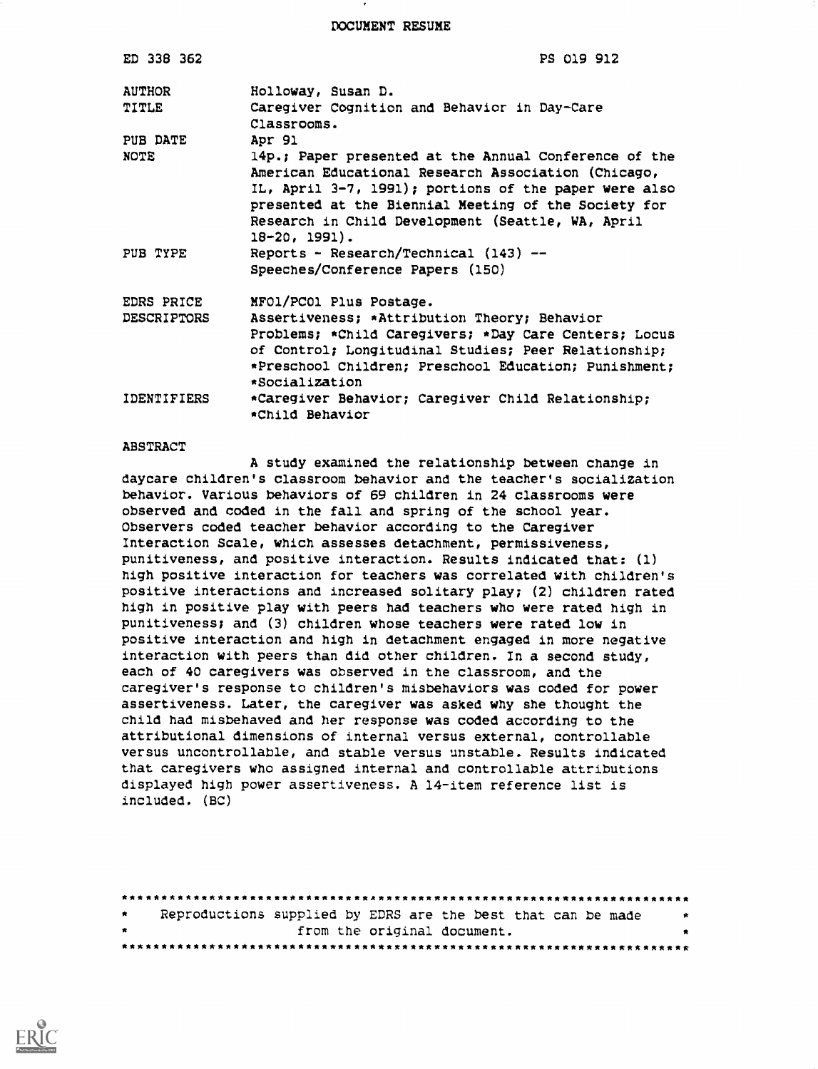DOCUMENT RESUME

| ED 338 362                       | PS 019 912                                                                                                                                                                                                                                                                                                        |  |  |  |  |  |
|----------------------------------|-------------------------------------------------------------------------------------------------------------------------------------------------------------------------------------------------------------------------------------------------------------------------------------------------------------------|--|--|--|--|--|
| <b>AUTHOR</b><br><b>TITLE</b>    | Holloway, Susan D.<br>Caregiver Cognition and Behavior in Day-Care<br>Classrooms.                                                                                                                                                                                                                                 |  |  |  |  |  |
| PUB DATE<br>NOTE                 | Apr 91<br>14p.; Paper presented at the Annual Conference of the<br>American Educational Research Association (Chicago,<br>IL, April 3-7, 1991); portions of the paper were also<br>presented at the Biennial Meeting of the Society for<br>Research in Child Development (Seattle, WA, April<br>$18 - 20, 1991$ . |  |  |  |  |  |
| PUB TYPE                         | Reports - Research/Technical (143) --<br>Speeches/Conference Papers (150)                                                                                                                                                                                                                                         |  |  |  |  |  |
| EDRS PRICE<br><b>DESCRIPTORS</b> | MFO1/PC01 Plus Postage.<br>Assertiveness; *Attribution Theory; Behavior<br>Problems; *Child Caregivers; *Day Care Centers; Locus<br>of Control; Longitudinal Studies; Peer Relationship;<br>*Preschool Children; Preschool Education; Punishment;<br>*Socialization                                               |  |  |  |  |  |
| IDENTIFIERS                      | *Caregiver Behavior; Caregiver Child Relationship;<br>*Child Behavior                                                                                                                                                                                                                                             |  |  |  |  |  |

## ABSTRACT

A study examined the relationship between change in daycare children's classroom behavior and the teacher's socialization behavior. Various behaviors of 69 children in 24 classrooms were observed and coded in the fall and spring of the school year. Observers coded teacher behavior according to the Caregiver Interaction Scale, which assesses detachment, permissiveness, punitiveness, and positive interaction. Results indicated that: (1) high positive interaction for teachers was correlated with children's positive interactions and increased solitary play; (2) children rated high in positive play with peers had teachers who were rated high in punitiveness; and (3) children whose teachers were rated low in positive interaction and high in detachment engaged in more negative interaction with peers than did other children. In a second study, each of 40 caregivers was observed in the classroom, and the caregiver's response to children's misbehaviors was coded for power assertiveness. Later, the caregiver was asked why she thought the child had misbehaved and her response was coded according to the attributional dimensions of internal versus external, controllable versus uncontrollable, and stable versus unstable. Results indicated that caregivers who assigned internal and controllable attributions displayed high power assertiveness. A 14-item reference list is included. (BC)

| $\bullet$ |  | Reproductions supplied by EDRS are the best that can be made | <b>PARTIES</b> |
|-----------|--|--------------------------------------------------------------|----------------|
| $\bullet$ |  | from the original document.                                  |                |
|           |  |                                                              |                |

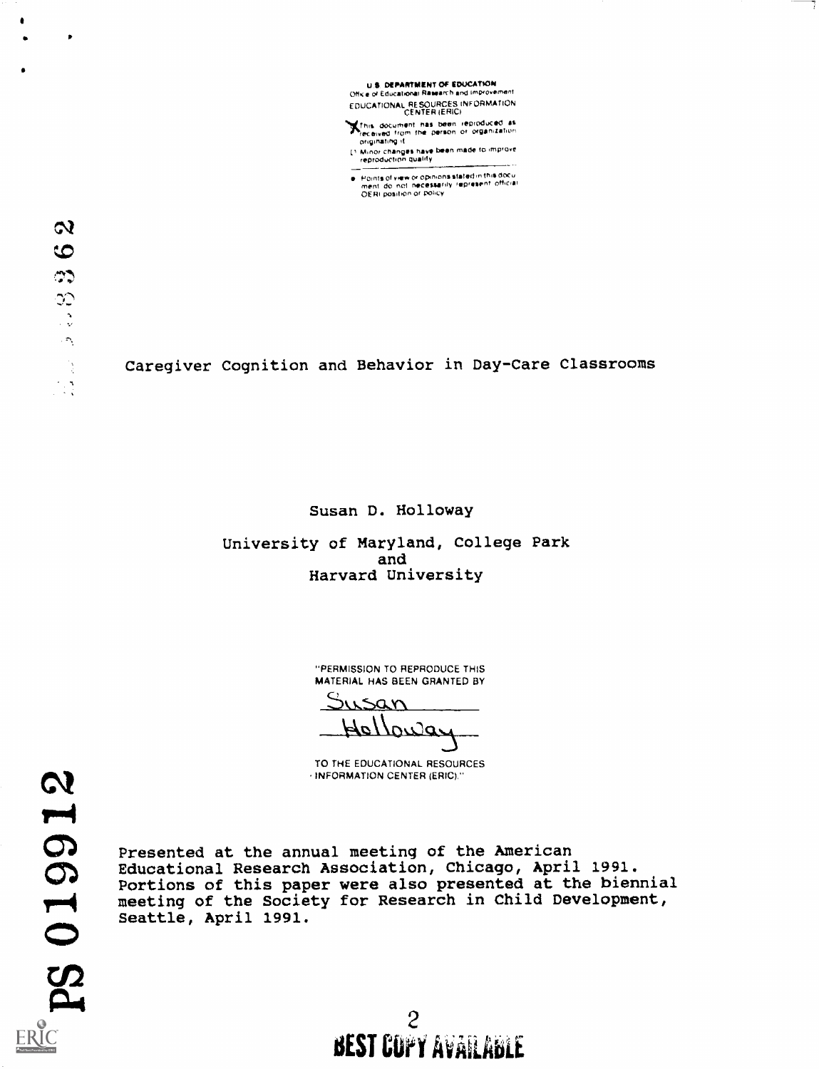U S DEPARTMENT Of EDUCATION Office of Educational Research and improvement EDUCATIONAL RESOURCES INFORMATION CENTER IERICI

This document has been reproduced as<br>received from the parson of organization<br>originating it

Minor changes have been made to improve<br>reproduction qualify

Points of view or opinions stated in mix ooc o<br>ment 'do' not 'necessarily' represent' official<br>OERI position or policy

 $\boldsymbol{\alpha}$  $\bullet$  $\mathcal{L}$ QQ  $\frac{1}{2}$  $\langle \hat{\gamma} \rangle$ 

 $\bullet$ 

Caregiver Cognition and Behavior in Day-Care Classrooms

Susan D. Holloway

University of Maryland, College Park and Harvard University

> "PERMISSION TO REPRODUCE THIS MATERIAL HAS BEEN GRANTED BY

sistem  $4e\Lambda$ o $2e$ 

TO THE EDUCATIONAL RESOURCES INFORMATION CENTER (ERIC)."

Presented at the annual meeting of the American Educational Research Association, Chicago, April 1991. Portions of this paper were also presented at the biennial meeting of the Society for Research in Child Development, Seattle, April 1991.

> 2 DEST GULT MABIFERDEE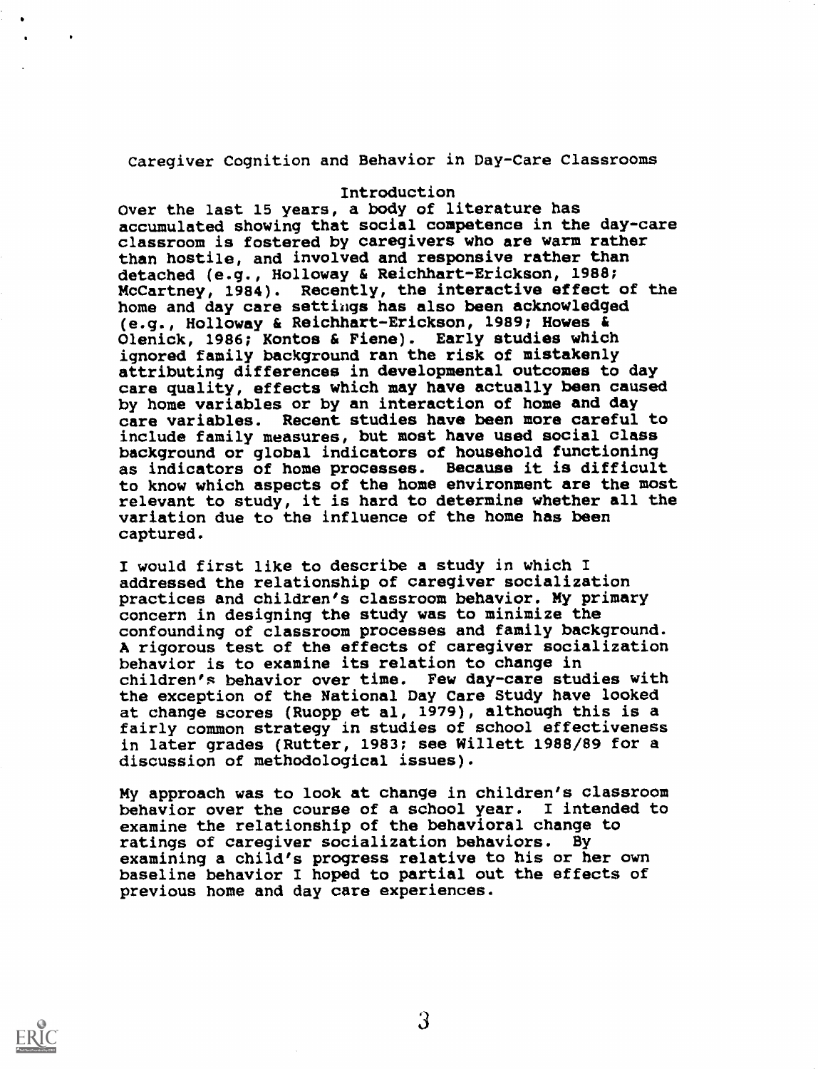Caregiver Cognition and Behavior in Day-Care Classrooms

## Introduction

Over the last 15 years, a body of literature has accumulated showing that social competence in the day-care classroom is fostered by caregivers who are warm rather than hostile, and involved and responsive rather than detached (e.g., Holloway & Reichhart-Erickson, 1988; McCartney, 1984). Recently, the interactive effect of the home and day care settings has also been acknowledged (e.g., Holloway & Reichhart-Erickson, 1989; Howes & Olenick, 1986; Kontos & Fiene). Early studies which ignored family background ran the risk of mistakenly attributing differences in developmental outcomes to day care quality, effects which may have actually been caused by home variables or by an interaction of home and day care variables. Recent studies have been more careful to include family measures, but most have used social class background or global indicators of household functioning as indicators of home processes. Because it is difficult to know which aspects of the home environment are the most relevant to study, it is hard to determine whether all the variation due to the influence of the home has been captured.

I would first like to describe a study in which I addressed the relationship of caregiver socialization practices and children's classroom behavior. My primary concern in designing the study was to minimize the confounding of classroom processes and family background. A rigorous test of the effects of caregiver socialization behavior is to examine its relation to change in children's behavior over time. Few day-care studies with the exception of the National Day Care Study have looked at change scores (Ruopp et al, 1979), although this is a fairly common strategy in studies of school effectiveness in later grades (Rutter, 1983; see Willett 1988/89 for a discussion of methodological issues).

My approach was to look at change in children's classroom behavior over the course of a school year. I intended to examine the relationship of the behavioral change to ratings of caregiver socialization behaviors. By examining a child's progress relative to his or her own baseline behavior I hoped to partial out the effects of previous home and day care experiences.



3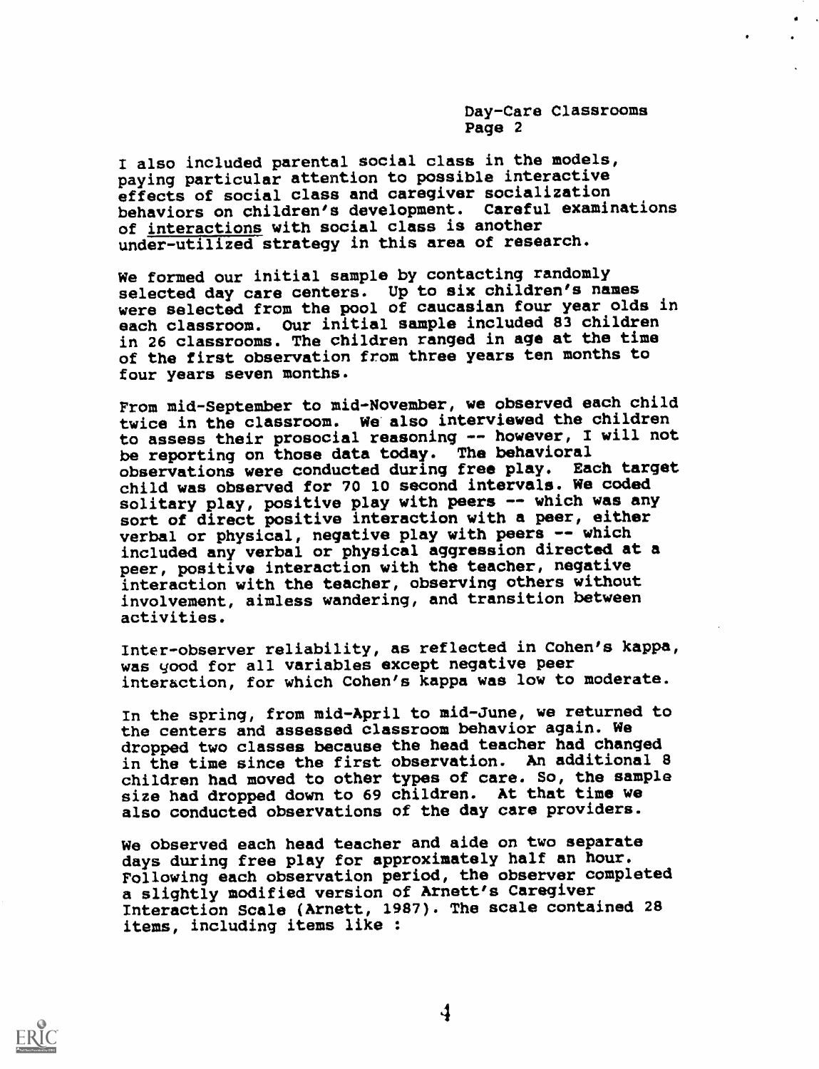I also included parental social class in the models, paying particular attention to possible interactive effects of social class and caregiver socialization behaviors on children's development. Careful examinations of interactions with social class is another under-utilized strategy in this area of research.

We formed our initial sample by contacting randomly selected day care centers. Up to six children's names were selected from the pool of caucasian four year olds in each classroom. Our initial sample included 83 children in 26 classrooms. The children ranged in age at the time of the first observation from three years ten months to four years seven months.

From mid-September to mid-November, we observed each child twice in the classroom. We also interviewed the children to assess their prosocial reasoning -- however, I will not be reporting on those data today. The behavioral observations were conducted during free play. Each target child was observed for 70 10 second intervals. We coded solitary play, positive play with peers -- which was any sort of direct positive interaction with a peer, either verbal or physical, negative play with peers -- which included any verbal or physical aggression directed at a peer, positive interaction with the teacher, negative interaction with the teacher, observing others without involvement, aimless wandering, and transition between activities.

Inter-observer reliability, as reflected in Cohen's kappa, was good for all variables except negative peer interaction, for which Cohen's kappa was low to moderate.

In the spring, from mid-April to mid-June, we returned to the centers and assessed classroom behavior again. We dropped two classes because the head teacher had changed in the time since the first observation. An additional 8 children had moved to other types of care. So, the sample size had dropped down to 69 children. At that time we also conducted observations of the day care providers.

We observed each head teacher and aide on two separate days during free play for approximately half an hour. Following each observation period, the observer completed a slightly modified version of Arnett's Caregiver Interaction Scale (Arnett, 1987). The scale contained 28 items, including items like :



 $\boldsymbol{4}$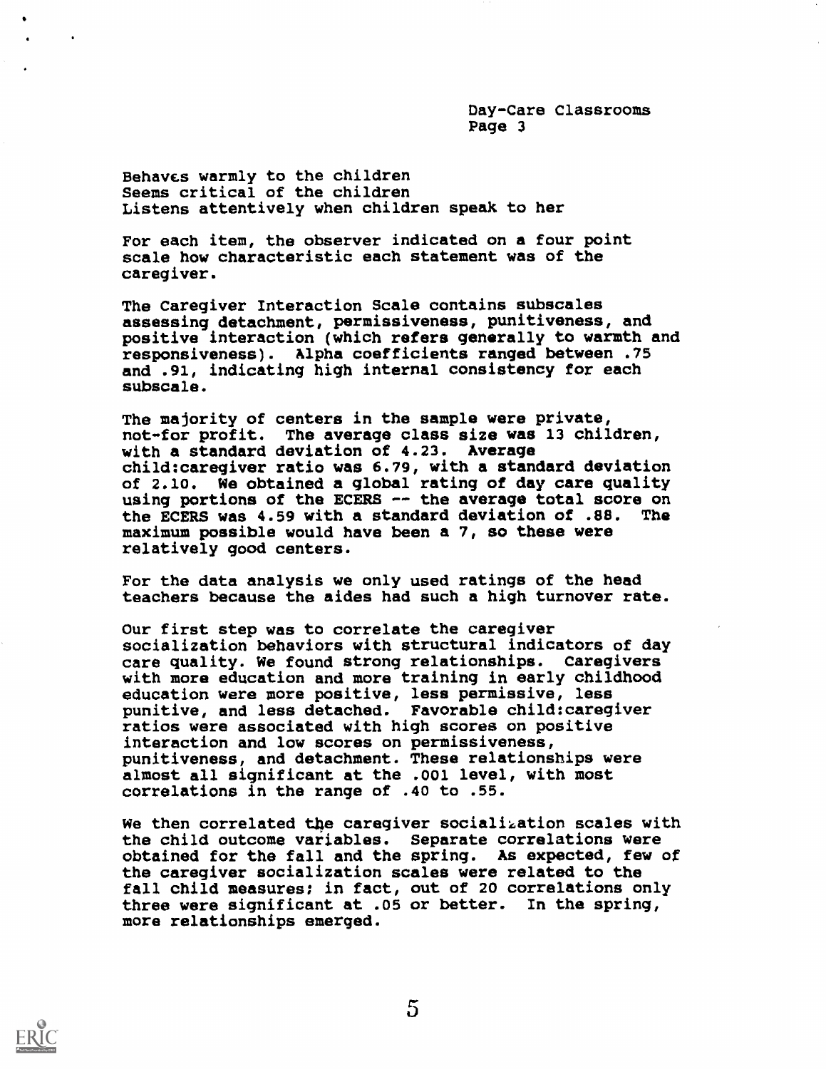Behavcs warmly to the children Seems critical of the children Listens attentively when children speak to her

For each item, the observer indicated on a four point scale how characteristic each statement was of the caregiver.

The Caregiver Interaction Scale contains subscales assessing detachment, permissiveness, punitiveness, and positive interaction (which refers generally to warmth and responsiveness). Alpha coefficients ranged between .75 and .91, indicating high internal consistency for each subscale.

The majority of centers in the sample were private, not-for profit. The average class size was 13 children, with a standard deviation of 4.23. Average child:caregiver ratio was 6.79, with a standard deviation of 2.10. We obtained a global rating of day care quality using portions of the ECERS -- the average total score on<br>the ECERS was 4.59 with a standard deviation of .88. The the ECERS was 4.59 with a standard deviation of .88. maximum possible would have been a 7, so these were relatively good centers.

For the data analysis we only used ratings of the head teachers because the aides had such a high turnover rate.

Our first step was to correlate the caregiver socialization behaviors with structural indicators of day care quality. We found strong relationships. Caregivers with more education and more training in early childhood education were more positive, less permissive, less punitive, and less detached. Favorable child:caregiver ratios were associated with high scores on positive interaction and low scores on permissiveness, punitiveness, and detachment. These relationships were almost all significant at the .001 level, with most correlations in the range of .40 to .55.

We then correlated the caregiver socialization scales with the child outcome variables. Separate correlations were obtained for the fall and the spring. As expected, few of the caregiver socialization scales were related to the fall child measures; in fact, out of 20 correlations only three were significant at .05 or better. In the spring, more relationships emerged.

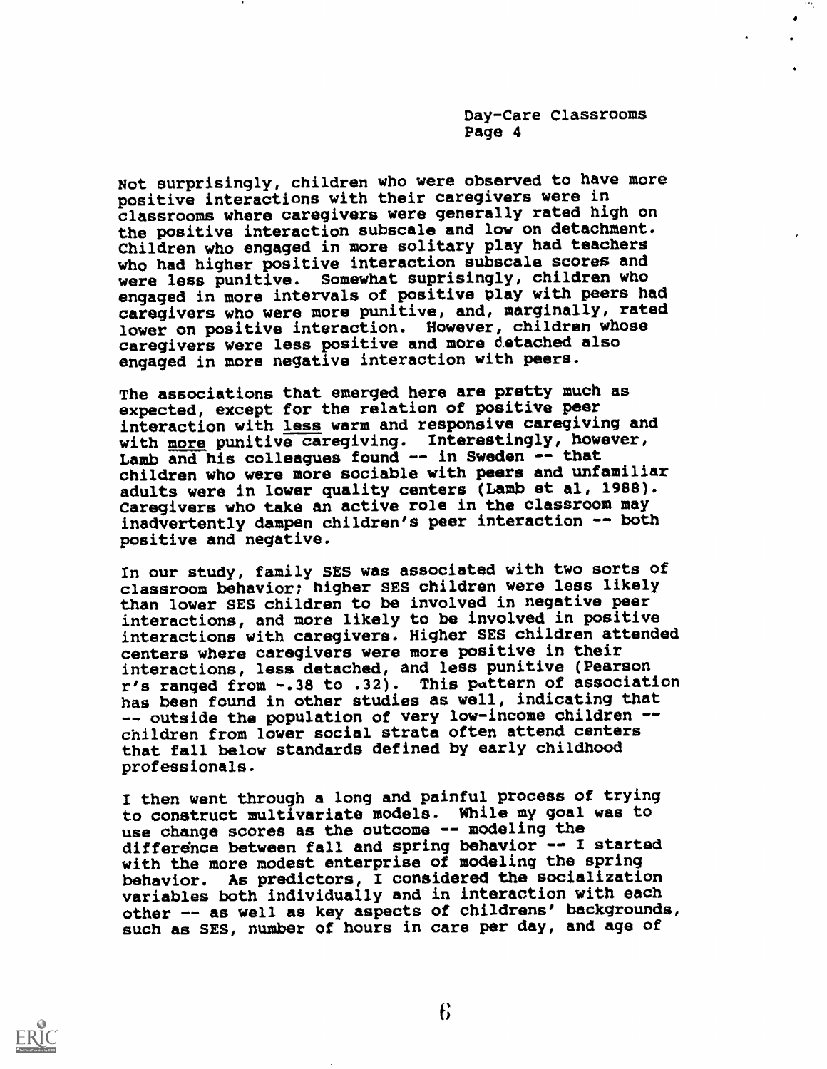Not surprisingly, children who were observed to have more positive interactions with their caregivers were in classrooms where caregivers were generally rated high on the positive interaction subscale and low on detachment. Children who engaged in more solitary play had teachers who had higher positive interaction subscale scores and were less punitive. Somewhat suprisingly, children who engaged in more intervals of positive play with peers had caregivers who were more punitive, and, marginally, rated lower on positive interaction. However, children whose caregivers were less positive and more detached also engaged in more negative interaction with peers.

The associations that emerged here are pretty much as expected, except for the relation of positive peer interaction with less warm and responsive caregiving and with more punitive caregiving. Interestingly, however, Lamb and his colleagues found -- in Sweden -- that children who were more sociable with peers and unfamiliar adults were in lower quality centers (Lamb et al, 1988). Caregivers who take an active role in the classroom may inadvertently dampen children's peer interaction -- both positive and negative.

In our study, family SES was associated with two sorts of classroom behavior; higher SES children were less likely than lower SES children to be involved in negative peer interactions, and more likely to be involved in positive interactions with caregivers. Higher SES children attended centers where caregivers were more positive in their interactions, less detached, and less punitive (Pearson r's ranged from -.38 to .32). This pattern of association has been found in other studies as well, indicating that -- outside the population of very low-income children -children from lower social strata often attend centers that fall below standards defined by early childhood professionals.

I then went through a long and painful process of trying to construct multivariate models. While my goal was to use change scores as the outcome -- modeling the difference between fall and spring behavior -- I started with the more modest enterprise of modeling the spring behavior. As predictors, I considered the socialization variables both individually and in interaction with each other -- as well as key aspects of childrens/ backgrounds, such as SES, number of hours in care per day, and age of

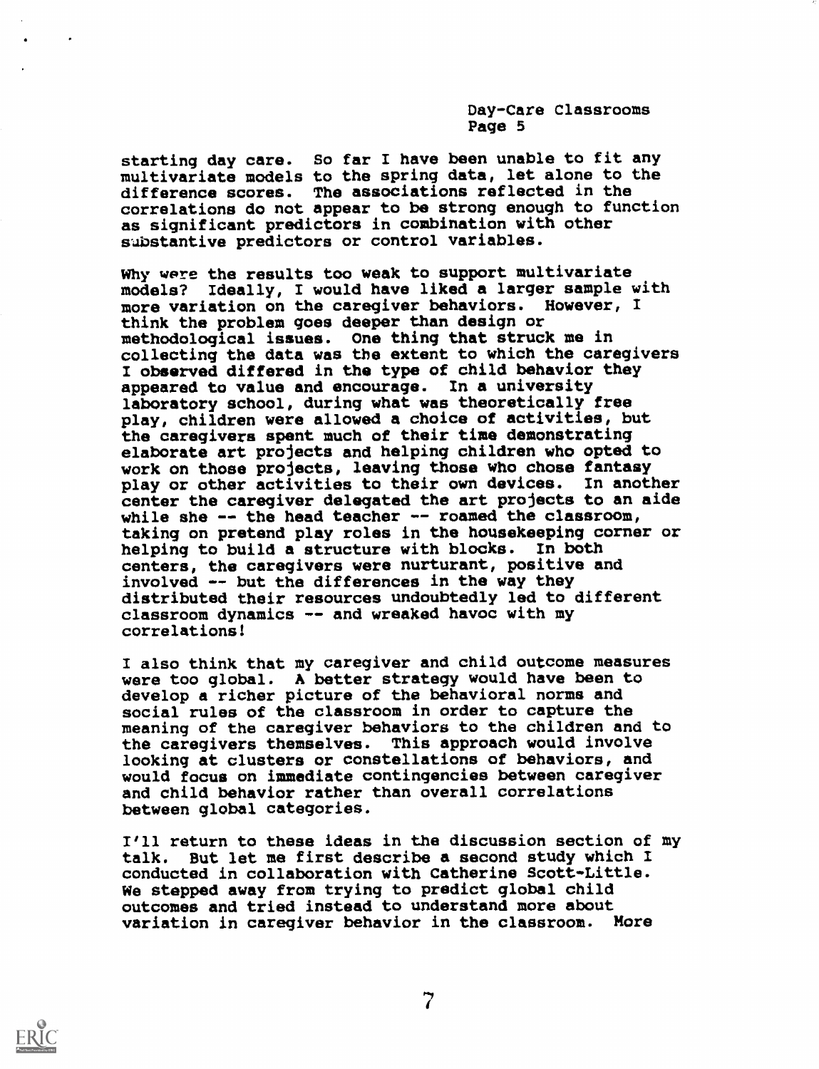starting day care. So far I have been unable to fit any multivariate models to the spring data, let alone to the difference scores. The associations reflected in the correlations do not appear to be strong enough to function as significant predictors in combination with other substantive predictors or control variables.

Why were the results too weak to support multivariate models? Ideally, I would have liked a larger sample with more variation on the caregiver behaviors. However, I think the problem goes deeper than design or methodological issues. One thing that struck me in collecting the data was the extent to which the caregivers I observed differed in the type of child behavior they appeared to value and encourage. In a university laboratory school, during what was theoretically free play, children were allowed a choice of activities, but the caregivers spent much of their time demonstrating elaborate art projects and helping children who opted to work on those projects, leaving those who chose fantasy play or other activities to their own devices. In another center the caregiver delegated the art projects to an aide while she  $--$  the head teacher  $--$  roamed the classroom, taking on pretend play roles in the housekeeping corner or helping to build a structure with blocks. In both centers, the caregivers were nurturant, positive and involved  $-$ - but the differences in the way they distributed their resources undoubtedly led to different classroom dynamics -- and wreaked havoc with my correlations!

I also think that my caregiver and child outcome measures were too global. A better strategy would have been to develop a richer picture of the behavioral norms and social rules of the classroom in order to capture the meaning of the caregiver behaviors to the children and to the caregivers themselves. This approach would involve looking at clusters or constellations of behaviors, and would focus on immediate contingencies between caregiver and child behavior rather than overall correlations between global categories.

I'll return to these ideas in the discussion section of my talk. But let me first describe a second study which I conducted in collaboration with Catherine Scott-Little. We stepped away from trying to predict global child outcomes and tried instead to understand more about variation in caregiver behavior in the classroom. More

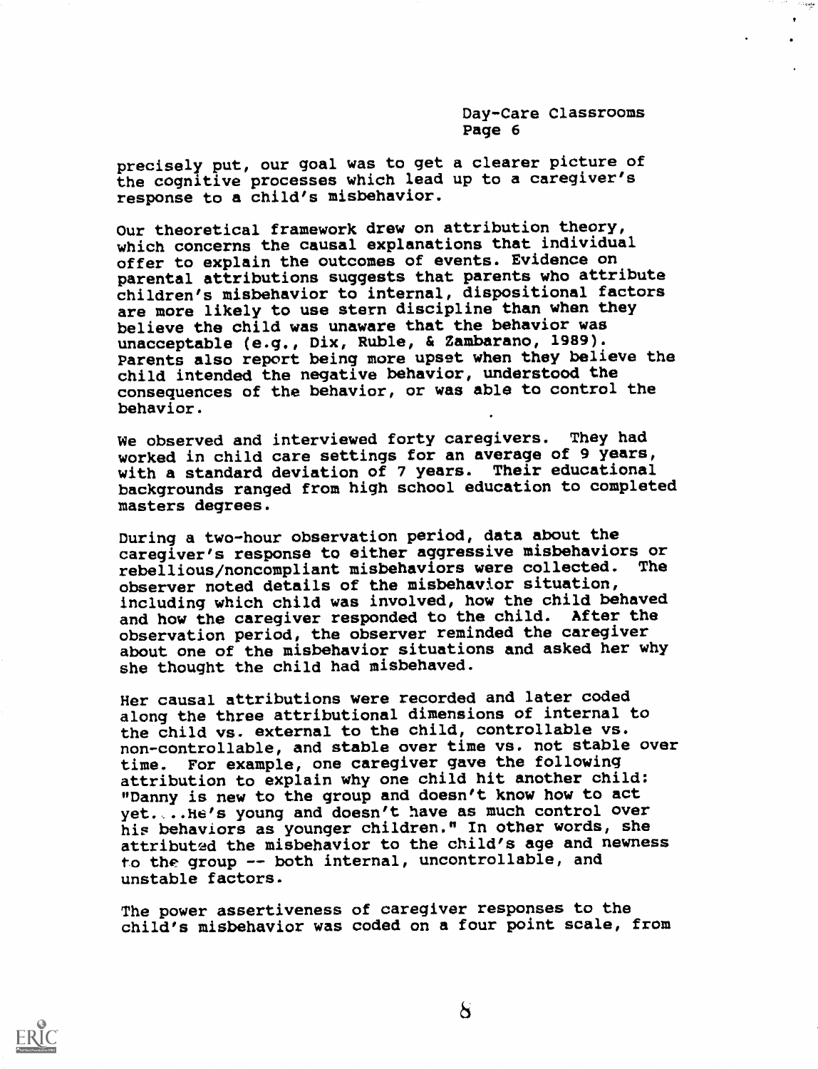مصونت

precisely put, our goal was to get a clearer picture of the cognitive processes which lead up to a caregiver's response to a child's misbehavior.

Our theoretical framework drew on attribution theory, which concerns the causal explanations that individual offer to explain the outcomes of events. Evidence on parental attributions suggests that parents who attribute children's misbehavior to internal, dispositional factors are more likely to use stern discipline than when they believe the child was unaware that the behavior was unacceptable (e.g., Dix, Ruble, & Zambarano, 1989). Parents also report being more upset when they believe the child intended the negative behavior, understood the consequences of the behavior, or was able to control the behavior.

We observed and interviewed forty caregivers. They had worked in child care settings for an average of 9 years, with a standard deviation of 7 years. Their educational backgrounds ranged from high school education to completed masters degrees.

During a two-hour observation period, data about the caregiver's response to either aggressive misbehaviors or<br>rebellious/poncompliant misbehaviors were collected. The rebellious/noncompliant misbehaviors were collected. observer noted details of the misbehavior situation, including which child was involved, how the child behaved and how the caregiver responded to the child. After the observation period, the observer reminded the caregiver about one of the misbehavior situations and asked her why she thought the child had misbehaved.

Her causal attributions were recorded and later coded along the three attributional dimensions of internal to the child vs. external to the child, controllable vs. non-controllable, and stable over time vs. not stable over time. For example, one caregiver gave the following attribution to explain why one child hit another child: "Danny is new to the group and doesn't know how to act yet. ..he's young and doesn't have as much control over his behaviors as younger children." In other words, she attributed the misbehavior to the child's age and newness to the group -- both internal, uncontrollable, and unstable factors.

The power assertiveness of caregiver responses to the child's misbehavior was coded on a four point scale, from

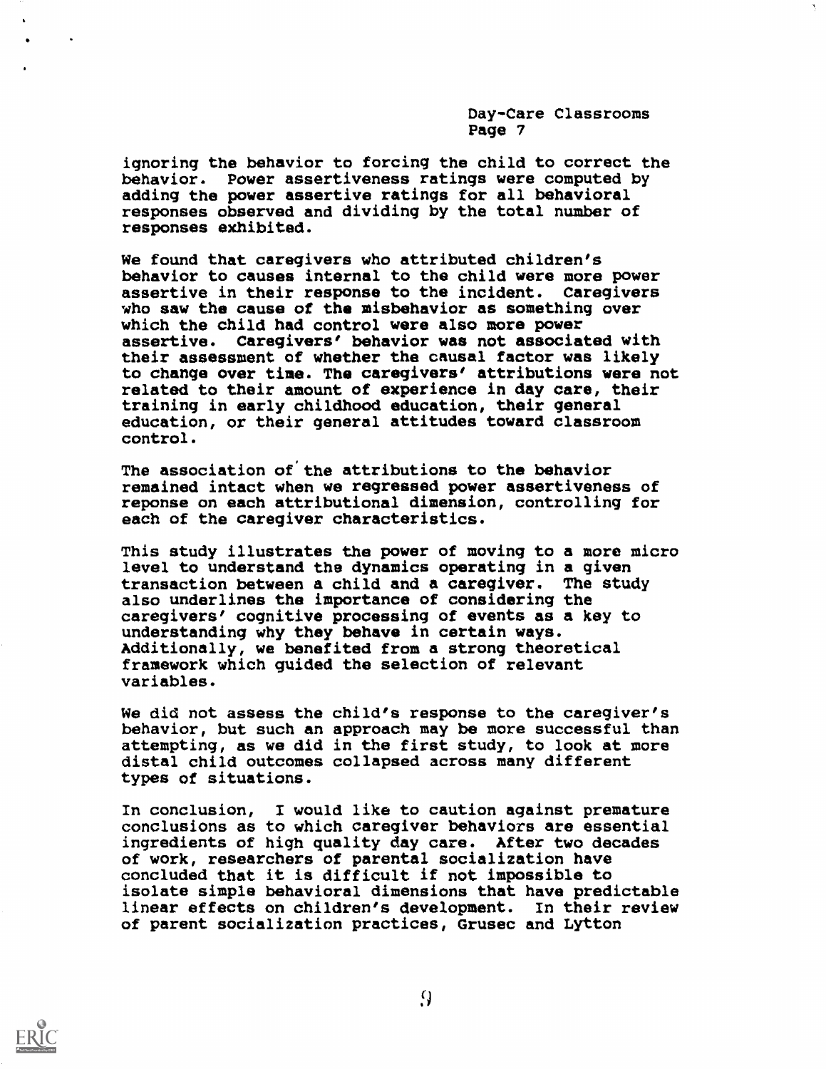ignoring the behavior to forcing the child to correct the behavior. Power assertiveness ratings were computed by adding the power assertive ratings for all behavioral responses observed and dividing by the total number of responses exhibited.

We found that caregivers who attributed children's behavior to causes internal to the child were more power assertive in their response to the incident. Caregivers who saw the cause of the misbehavior as something over which the child had control were also more power assertive. Caregivers' behavior was not associated with their assessment of whether the causal factor was likely to change over time. The caregivers' attributions were not related to their amount of experience in day care, their training in early childhood education, their general education, or their general attitudes toward classroom control.

The association of the attributions to the behavior remained intact when we regressed power assertiveness of reponse on each attributional dimension, controlling for each of the caregiver characteristics.

This study illustrates the power of moving to a more micro level to understand the dynamics operating in a given transaction between a child and a caregiver. The study also underlines the importance of considering the caregivers' cognitive processing of events as a key to understanding why they behave in certain ways. Additionally, we benefited from a strong theoretical framework which guided the selection of relevant variables.

We did not assess the child's response to the caregiver's behavior, but such an approach may be more successful than attempting, as we did in the first study, to look at more distal child outcomes collapsed across many different types of situations.

In conclusion, I would like to caution against premature conclusions as to which caregiver behaviors are essential ingredients of high quality day care. After two decades of work, researchers of parental socialization have concluded that it is difficult if not impossible to isolate simple behavioral dimensions that have predictable linear effects on children's development. In their review of parent socialization practices, Grusec and Lytton

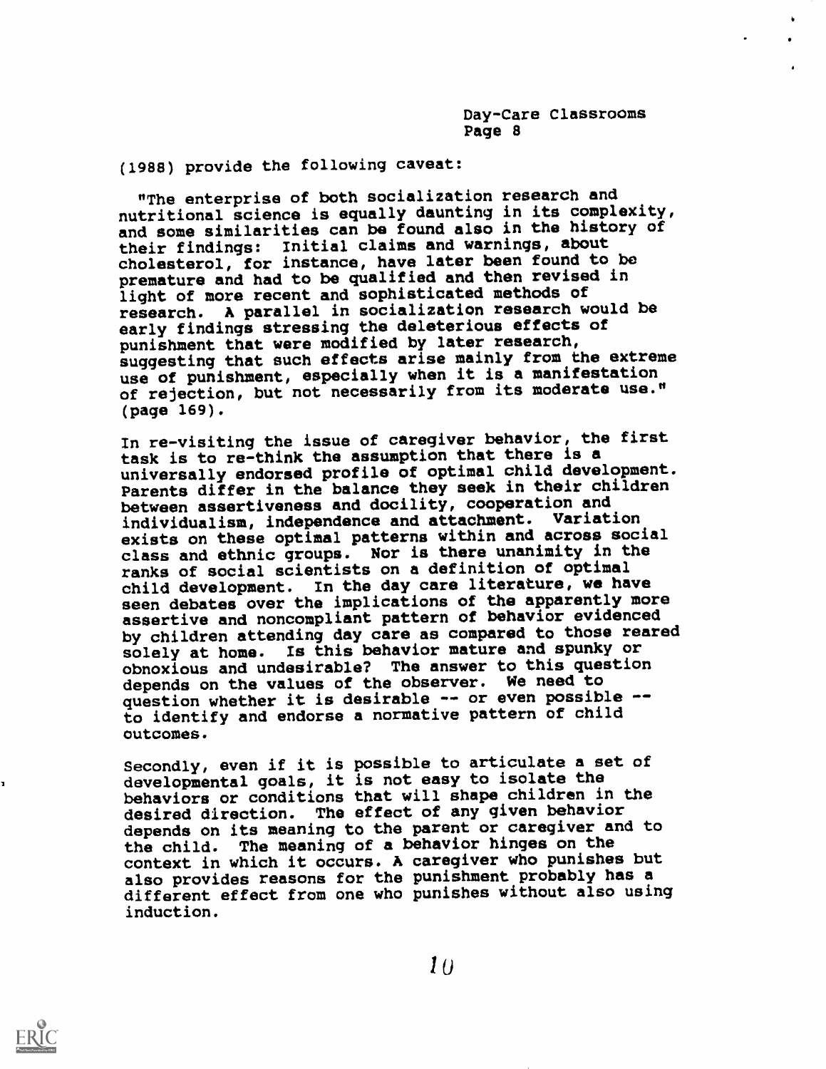(1988) provide the following caveat:

"The enterprise of both socialization research and nutritional science is equally daunting in its complexity, and some similarities can be found also in the history of their findings: Initial claims and warnings, about cholesterol, for instance, have later been found to be premature and had to be qualified and then revised in light of more recent and sophisticated methods of research. A parallel in socialization research would be early findings stressing the deleterious effects of punishment that were modified by later research, suggesting that such effects arise mainly from the extreme use of punishment, especially when it is a manifestation of rejection, but not necessarily from its moderate use." (page 169).

In re-visiting the issue of caregiver behavior, the first task is to re-think the assumption that there is a universally endorsed profile of optimal child development. Parents differ in the balance they seek in their children between assertiveness and docility, cooperation and individualism, independence and attachment. Variation exists on these optimal patterns within and across social class and ethnic groups. Nor is there unanimity in the ranks of social scientists on a definition of optimal child development. In the day care literature, we have seen debates over the implications of the apparently more assertive and noncompliant pattern of behavior evidenced by children attending day care as compared to those reared solely at home. Is this behavior mature and spunky or obnoxious and undesirable? The answer to this question depends on the values of the observer. We need to question whether it is desirable -- or even possible -to identify and endorse a normative pattern of child outcomes.

Secondly, even if it is possible to articulate a set of developmental goals, it is not easy to isolate the behaviors or conditions that will shape children in the desired direction. The effect of any given behavior depends on its meaning to the parent or caregiver and to the child. The meaning of a behavior hinges on the context in which it occurs. A caregiver who punishes but also provides reasons for the punishment probably has a different effect from one who punishes without also using induction.



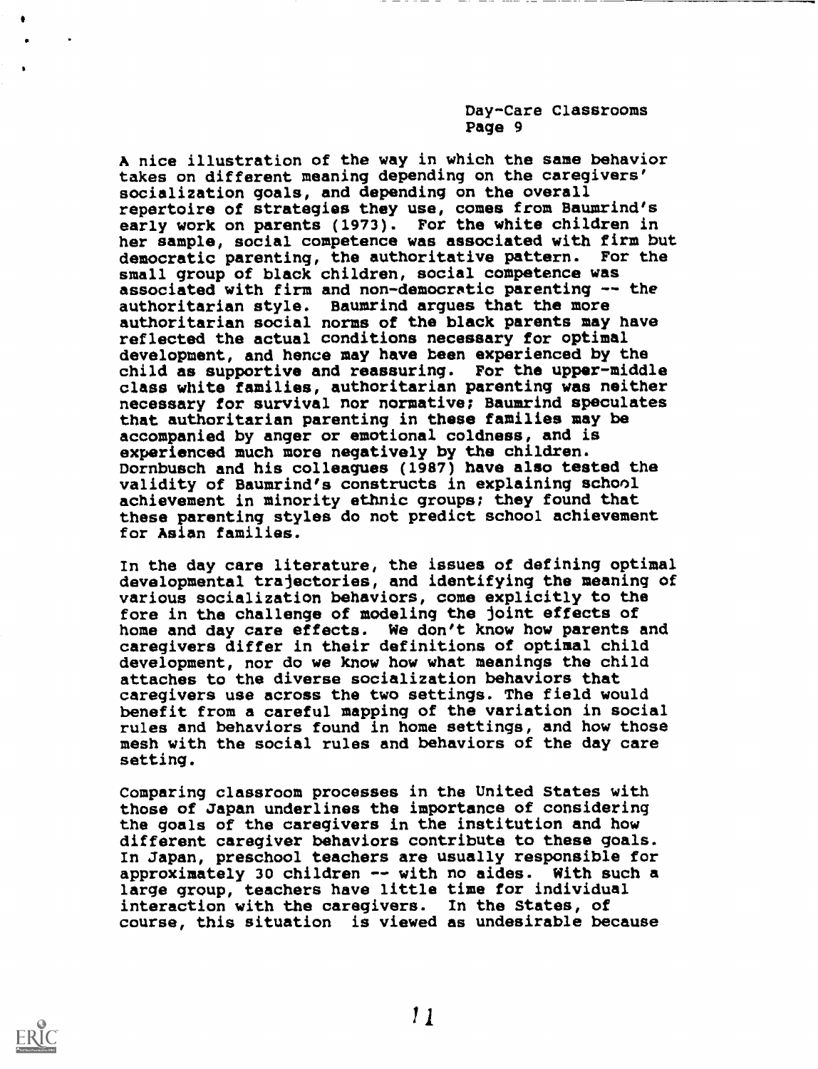A nice illustration of the way in which the same behavior takes on different meaning depending on the caregivers' socialization goals, and depending on the overall repertoire of strategies they use, comes from Baumrind's early work on parents (1973). For the white children in her sample, social competence was associated with firm but democratic parenting, the authoritative pattern. For the small group of black children, social competence was associated with firm and non-democratic parenting -- the authoritarian style. Baumrind argues that the more authoritarian social norms of the black parents may have reflected the actual conditions necessary for optimal development, and hence may have been experienced by the child as supportive and reassuring. For the upper-middle class white families, authoritarian parenting was neither necessary for survival nor normative; Baumrind speculates that authoritarian parenting in these families may be accompanied by anger or emotional coldness, and is experienced much more negatively by the children. Dornbusch and his colleagues (1987) have also tested the validity of Baumrind's constructs in explaining school achievement in minority ethnic groups; they found that these parenting styles do not predict school achievement for Asian families.

In the day care literature, the issues of defining optimal developmental trajectories, and identifying the meaning of various socialization behaviors, come explicitly to the fore in the challenge of modeling the joint effects of home and day care effects. We don't know how parents and caregivers differ in their definitions of optimal child development, nor do we know how what meanings the child attaches to the diverse socialization behaviors that caregivers use across the two settings. The field would benefit from a careful mapping of the variation in social rules and behaviors found in home settings, and how those mesh with the social rules and behaviors of the day care setting.

Comparing classroom processes in the United States with those of Japan underlines the importance of considering the goals of the caregivers in the institution and how different caregiver behaviors contribute to these goals. In Japan, preschool teachers are usually responsible for approximately 30 children -- with no aides. With such a large group, teachers have little time for individual interaction with the caregivers. In the States, of course, this situation is viewed as undesirable because

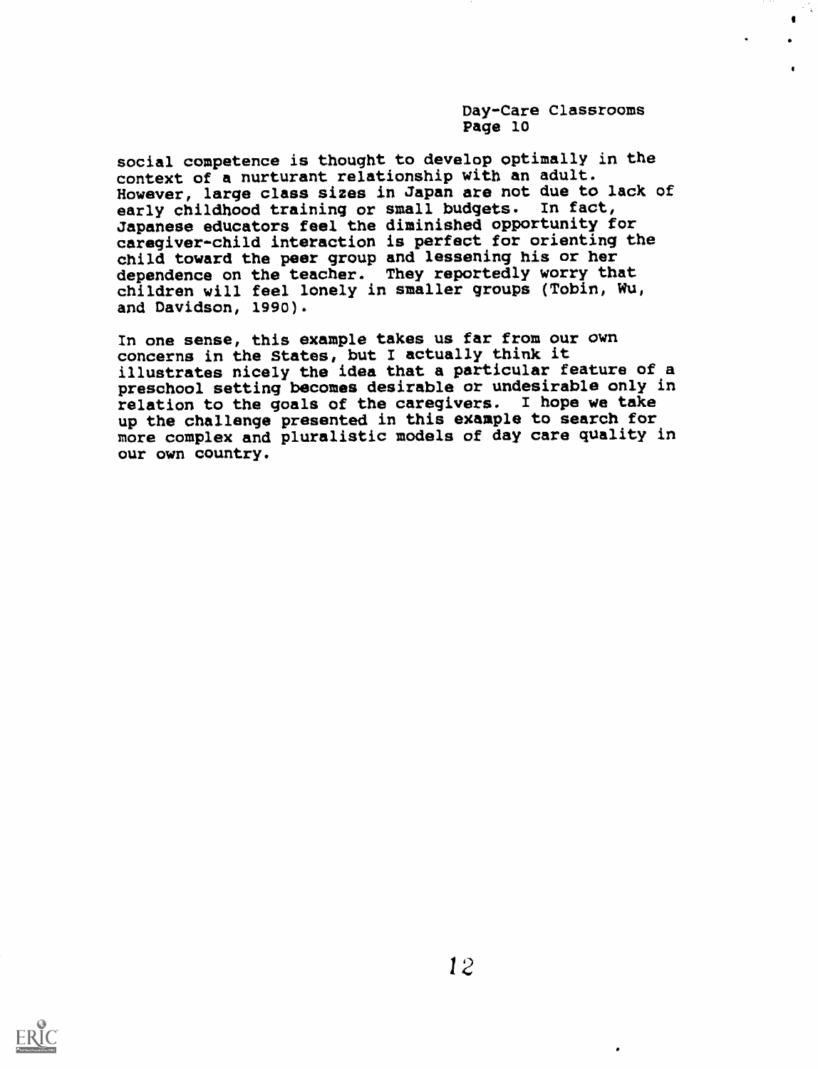social competence is thought to develop optimally in the context of a nurturant relationship with an adult. However, large class sizes in Japan are not due to lack of early childhood training or small budgets. In fact, Japanese educators feel the diminished opportunity for caregiver-child interaction is perfect for orienting the child toward the peer group and lessening his or her dependence on the teacher. They reportedly worry that children will feel lonely in smaller groups (Tobin, Wu, and Davidson, 1990).

In one sense, this example takes us far from our own concerns in the States, but I actually think it illustrates nicely the idea that a particular feature of a preschool setting becomes desirable or undesirable only in relation to the goals of the caregivers. I hope we take up the challenge presented in this example to search for more complex and pluralistic models of day care quality in our own country.

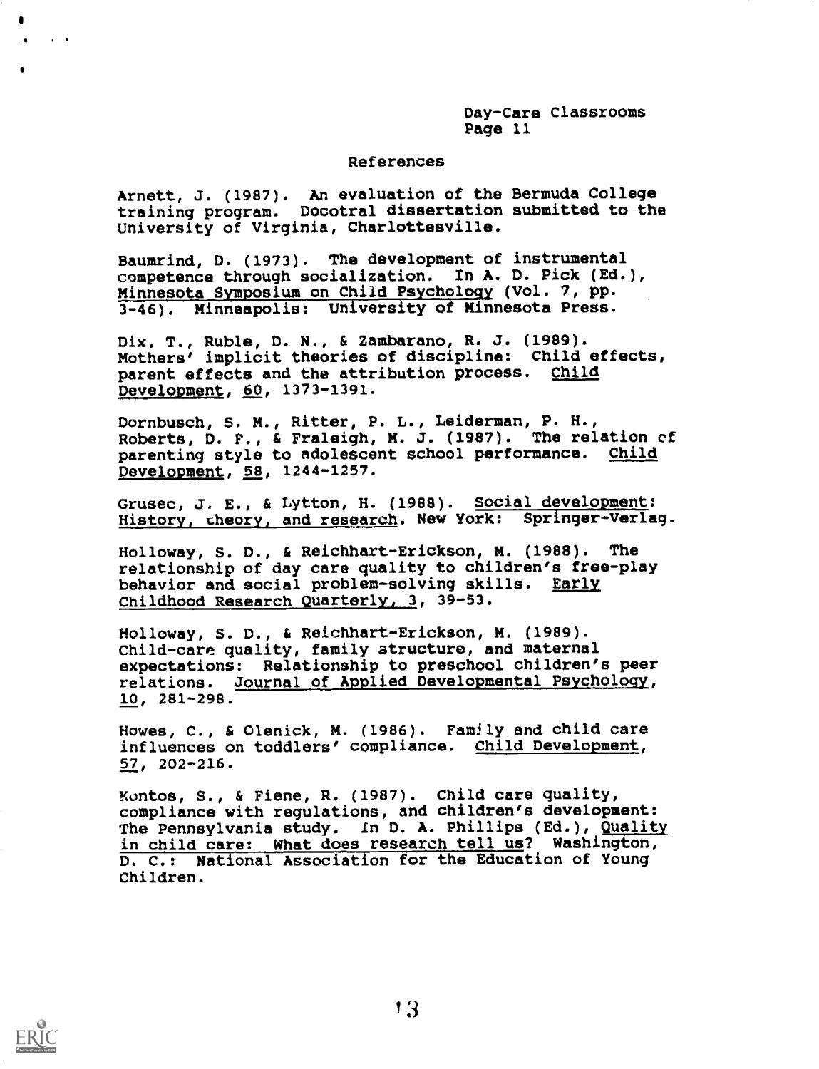## References

Arnett, J. (1987). An evaluation of the Bermuda College training program. Docotral dissertation submitted to the University of Virginia, Charlottesville.

Baumrind, D. (1973). The development of instrumental competence through socialization. In A. D. Pick (Ed.), Minnesota Symposium on Child Psychology (Vol. 7, pp. 3-46). Minneapolis: University of Minnesota Press.

Dix, T., Ruble, D. N., & Zambarano, R. J. (1989). Mothers' implicit theories of discipline: Child effects, parent effects and the attribution process. Child Development, 60, 1373-1391.

Dornbusch, S. M., Ritter, P. L., Leiderman, P. H., Roberts, D. F., & Fraleigh, M. J. (1987). The relation of parenting style to adolescent school performance. Child Development, 58, 1244-1257.

Grusec, J. E., & Lytton, H. (1988). Social development: History, theory, and research. New York: Springer-Verlag.

Holloway, S. D., & Reichhart-Erickson, M. (1988). The relationship of day care quality to children's free-play behavior and social problem-solving skills. Early Childhood Research Quarterly, 3, 39-53.

Holloway, S. D., & Reichhart-Erickson, M. (1989). Child-care quality, family atructure, and maternal expectations: Relationship to preschool children's peer relations. Journal of Applied Developmental Psychology, 10, 281-298.

Howes, C., & Olenick, M. (1986). Family and child care influences on toddlers' compliance. Child Development, 57, 202-216.

Kontos, S., & Fiene, R. (1987). Child care quality, compliance with regulations, and children's development: The Pennsylvania study. In D. A. Phillips (Ed.), Quality in child care: What does research tell us? Washington, D. C.: National Association for the Education of Young Children.



4